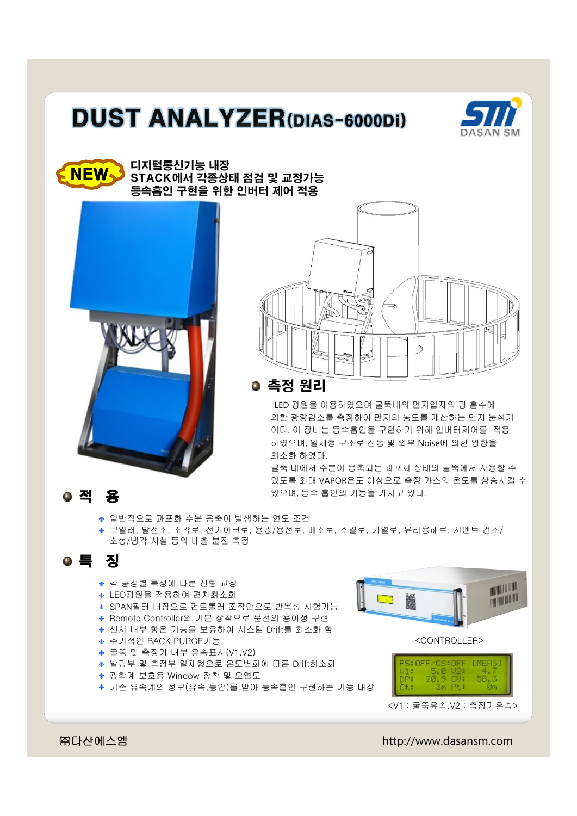## **DUST ANALYZER(DIAS-6000Di)**









LED 광원을 이용하였으며 굴뚝내의 먼지입자의 광 흡수에 의한 광량감소를 측정하여 먼지의 농도를 계산하는 먼지 분석기 이다. 이 장비는 등속흡인을 구현하기 위해 인버터제어를 적용 하였으며, 일체형 구조로 진동 및 외부 Noise에 의한 영향을 최소화 하였다.

굴뚝 내에서 수분이 응축되는 과포화 상태의 굴뚝에서 사용할 수 있도록 최대 VAPOR온도 이상으로 측정 가스의 온도를 상승시킬 수 있으며, 등속 흡인의 기능을 가지고 있다.

- ◆ 일반적으로 과포화 수분 응축이 발생하는 연도 조건
- 보일러, 발전소, 소각로, 전기아크로, 용광/용선로, 배소로, 소결로, 가열로, 유리용해로, 시멘트 건조/ 소성/냉각 시설 등의 배출 분진 측정

## 특 징

- 각 공정별 특성에 따른 선형 교정
- LED광원을 적용하여 편차최소화
- SPAN필터 내장으로 컨트롤러 조작만으로 반복성 시험가능
- Remote Controller의 기본 장착으로 운전의 용이성 구현
- 센서 내부 항온 기능을 보유하여 시스템 Drift를 최소화 함
- 주기적인 BACK PURGE기능
- 굴뚝 및 측정기 내부 유속표시(V1,V2)
- 발광부 및 측정부 일체형으로 온도변화에 따른 Drift최소화
- 광학계 보호용 Window 장착 및 오염도
- 기존 유속계의 정보(유속,동압)를 받아 등속흡인 구현하는 기능 내장

<CONTROLLER>



<V1 : 굴뚝유속,V2 : 측정기유속>

㈜다산에스엠 http://www.dasansm.com